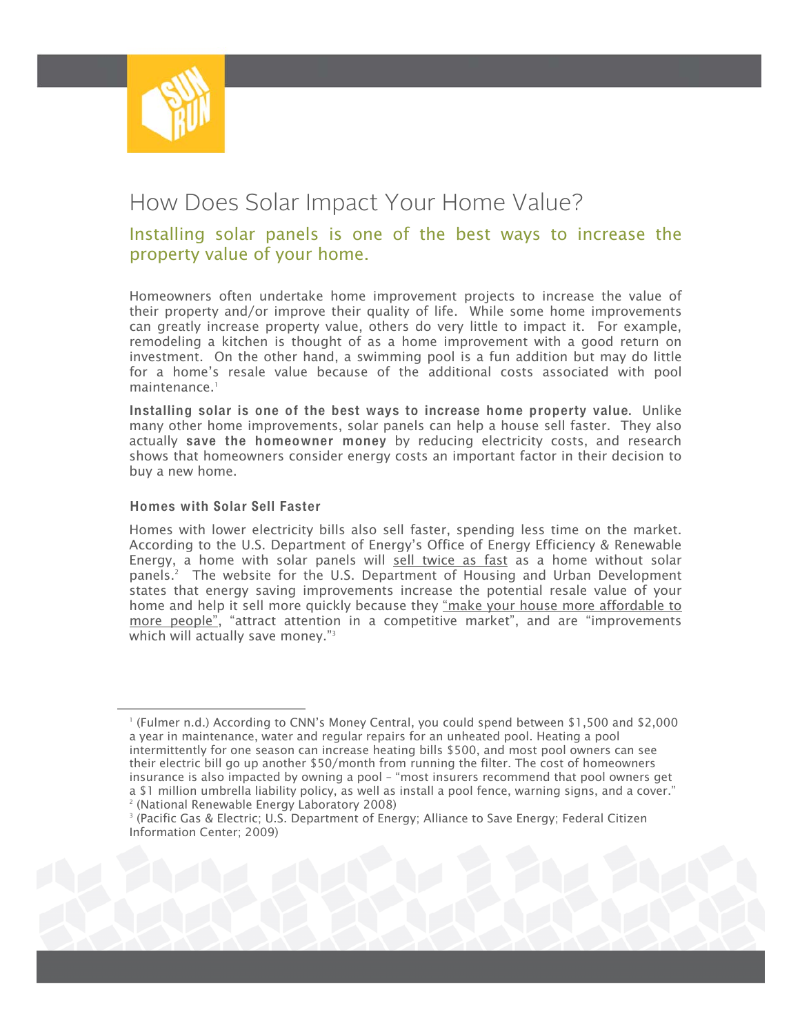

# How Does Solar Impact Your Home Value?

### Installing solar panels is one of the best ways to increase the property value of your home.

Homeowners often undertake home improvement projects to increase the value of their property and/or improve their quality of life. While some home improvements can greatly increase property value, others do very little to impact it. For example, remodeling a kitchen is thought of as a home improvement with a good return on investment. On the other hand, a swimming pool is a fun addition but may do little for a home's resale value because of the additional costs associated with pool maintenance<sup>1</sup>

Installing solar is one of the best ways to increase home property value. Unlike many other home improvements, solar panels can help a house sell faster. They also actually save the homeowner money by reducing electricity costs, and research shows that homeowners consider energy costs an important factor in their decision to buy a new home.

#### Homes with Solar Sell Faster

Homes with lower electricity bills also sell faster, spending less time on the market. According to the U.S. Department of Energy's Office of Energy Efficiency & Renewable Energy, a home with solar panels will sell twice as fast as a home without solar panels.2 The website for the U.S. Department of Housing and Urban Development states that energy saving improvements increase the potential resale value of your home and help it sell more quickly because they "make your house more affordable to more people", "attract attention in a competitive market", and are "improvements which will actually save money."<sup>3</sup>

1 (Fulmer n.d.) According to CNN's Money Central, you could spend between \$1,500 and \$2,000 a year in maintenance, water and regular repairs for an unheated pool. Heating a pool intermittently for one season can increase heating bills \$500, and most pool owners can see their electric bill go up another \$50/month from running the filter. The cost of homeowners insurance is also impacted by owning a pool – "most insurers recommend that pool owners get a \$1 million umbrella liability policy, as well as install a pool fence, warning signs, and a cover." 2 (National Renewable Energy Laboratory 2008)

<sup>3</sup> (Pacific Gas & Electric; U.S. Department of Energy; Alliance to Save Energy; Federal Citizen Information Center; 2009)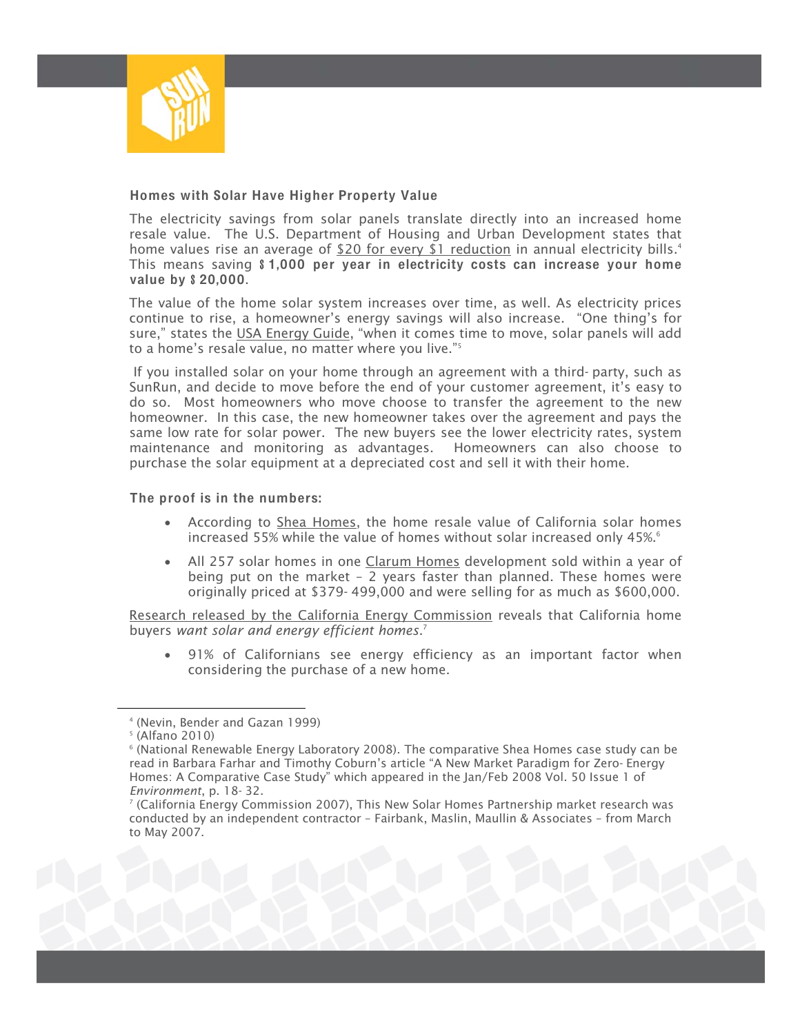

#### Homes with Solar Have Higher Property Value

The electricity savings from solar panels translate directly into an increased home resale value. The U.S. Department of Housing and Urban Development states that home values rise an average of  $$20$  for every \$1 reduction in annual electricity bills.<sup>4</sup> This means saving \$1,000 per year in electricity costs can increase your home value by \$20,000.

The value of the home solar system increases over time, as well. As electricity prices continue to rise, a homeowner's energy savings will also increase. "One thing's for sure," states the USA Energy Guide, "when it comes time to move, solar panels will add to a home's resale value, no matter where you live."5

 If you installed solar on your home through an agreement with a third- party, such as SunRun, and decide to move before the end of your customer agreement, it's easy to do so. Most homeowners who move choose to transfer the agreement to the new homeowner. In this case, the new homeowner takes over the agreement and pays the same low rate for solar power. The new buyers see the lower electricity rates, system maintenance and monitoring as advantages. Homeowners can also choose to purchase the solar equipment at a depreciated cost and sell it with their home.

#### The proof is in the numbers:

- According to Shea Homes, the home resale value of California solar homes increased 55% while the value of homes without solar increased only 45%.<sup>6</sup>
- All 257 solar homes in one Clarum Homes development sold within a year of being put on the market – 2 years faster than planned. These homes were originally priced at \$379- 499,000 and were selling for as much as \$600,000.

Research released by the California Energy Commission reveals that California home buyers *want solar and energy efficient homes*. 7

• 91% of Californians see energy efficiency as an important factor when considering the purchase of a new home.

4 (Nevin, Bender and Gazan 1999)

<sup>5</sup> (Alfano 2010)

 $^{\circ}$  (National Renewable Energy Laboratory 2008). The comparative Shea Homes case study can be read in Barbara Farhar and Timothy Coburn's article "A New Market Paradigm for Zero- Energy Homes: A Comparative Case Study" which appeared in the Jan/Feb 2008 Vol. 50 Issue 1 of *Environment*, p. 18- 32. 7

<sup>&</sup>lt;sup>7</sup> (California Energy Commission 2007), This New Solar Homes Partnership market research was conducted by an independent contractor – Fairbank, Maslin, Maullin & Associates – from March to May 2007.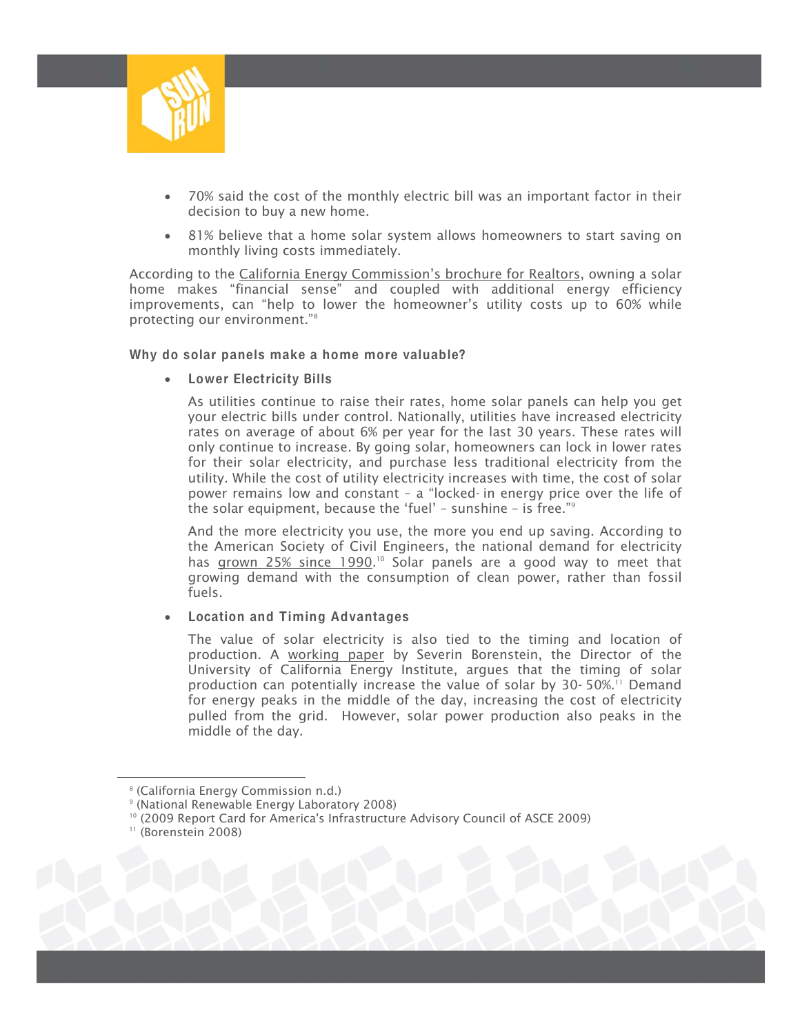

- 70% said the cost of the monthly electric bill was an important factor in their decision to buy a new home.
- 81% believe that a home solar system allows homeowners to start saving on monthly living costs immediately.

According to the California Energy Commission's brochure for Realtors, owning a solar home makes "financial sense" and coupled with additional energy efficiency improvements, can "help to lower the homeowner's utility costs up to 60% while protecting our environment."8

#### Why do solar panels make a home more valuable?

• Lower Electricity Bills

As utilities continue to raise their rates, home solar panels can help you get your electric bills under control. Nationally, utilities have increased electricity rates on average of about 6% per year for the last 30 years. These rates will only continue to increase. By going solar, homeowners can lock in lower rates for their solar electricity, and purchase less traditional electricity from the utility. While the cost of utility electricity increases with time, the cost of solar power remains low and constant – a "locked- in energy price over the life of the solar equipment, because the 'fuel' – sunshine – is free."9

And the more electricity you use, the more you end up saving. According to the American Society of Civil Engineers, the national demand for electricity has grown 25% since 1990.<sup>10</sup> Solar panels are a good way to meet that growing demand with the consumption of clean power, rather than fossil fuels.

#### Location and Timing Advantages

The value of solar electricity is also tied to the timing and location of production. A working paper by Severin Borenstein, the Director of the University of California Energy Institute, argues that the timing of solar production can potentially increase the value of solar by 30- 50%.11 Demand for energy peaks in the middle of the day, increasing the cost of electricity pulled from the grid. However, solar power production also peaks in the middle of the day.

<sup>8</sup> (California Energy Commission n.d.)

<sup>9</sup> (National Renewable Energy Laboratory 2008)

<sup>&</sup>lt;sup>10</sup> (2009 Report Card for America's Infrastructure Advisory Council of ASCE 2009)<br><sup>11</sup> (Borenstein 2008)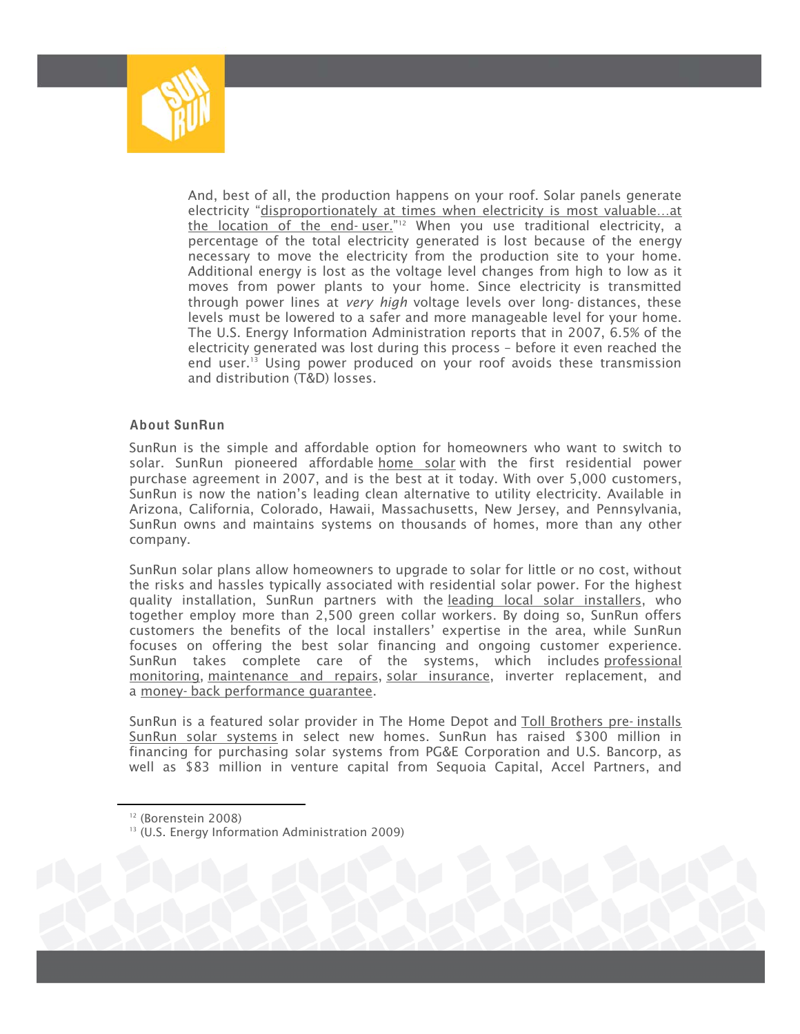

And, best of all, the production happens on your roof. Solar panels generate electricity "disproportionately at times when electricity is most valuable…at the location of the end-user.<sup>"12</sup> When you use traditional electricity, a percentage of the total electricity generated is lost because of the energy necessary to move the electricity from the production site to your home. Additional energy is lost as the voltage level changes from high to low as it moves from power plants to your home. Since electricity is transmitted through power lines at *very high* voltage levels over long- distances, these levels must be lowered to a safer and more manageable level for your home. The U.S. Energy Information Administration reports that in 2007, 6.5% of the electricity generated was lost during this process – before it even reached the end user.13 Using power produced on your roof avoids these transmission and distribution (T&D) losses.

#### About SunRun

SunRun is the simple and affordable option for homeowners who want to switch to solar. SunRun pioneered affordable home solar with the first residential power purchase agreement in 2007, and is the best at it today. With over 5,000 customers, SunRun is now the nation's leading clean alternative to utility electricity. Available in Arizona, California, Colorado, Hawaii, Massachusetts, New Jersey, and Pennsylvania, SunRun owns and maintains systems on thousands of homes, more than any other company.

SunRun solar plans allow homeowners to upgrade to solar for little or no cost, without the risks and hassles typically associated with residential solar power. For the highest quality installation, SunRun partners with the leading local solar installers, who together employ more than 2,500 green collar workers. By doing so, SunRun offers customers the benefits of the local installers' expertise in the area, while SunRun focuses on offering the best solar financing and ongoing customer experience. SunRun takes complete care of the systems, which includes professional monitoring, maintenance and repairs, solar insurance, inverter replacement, and a money- back performance guarantee.

SunRun is a featured solar provider in The Home Depot and Toll Brothers pre- installs SunRun solar systems in select new homes. SunRun has raised \$300 million in financing for purchasing solar systems from PG&E Corporation and U.S. Bancorp, as well as \$83 million in venture capital from Sequoia Capital, Accel Partners, and

12 (Borenstein 2008)

<sup>&</sup>lt;sup>13</sup> (U.S. Energy Information Administration 2009)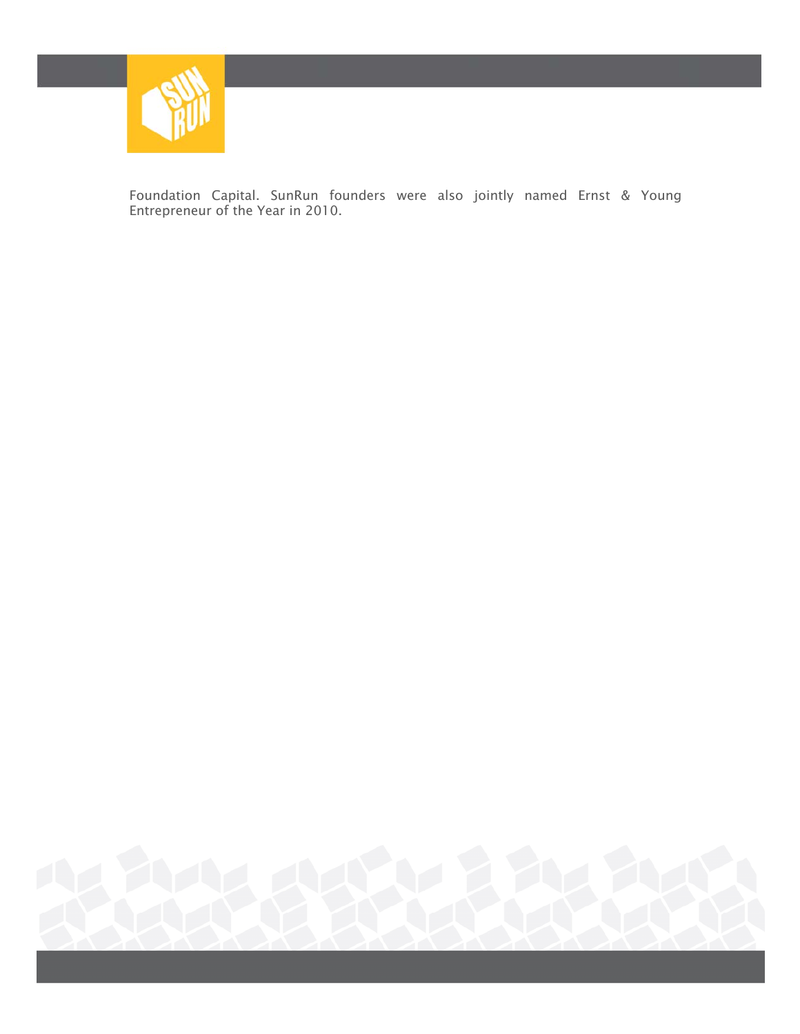

Foundation Capital. SunRun founders were also jointly named Ernst & Young Entrepreneur of the Year in 2010.